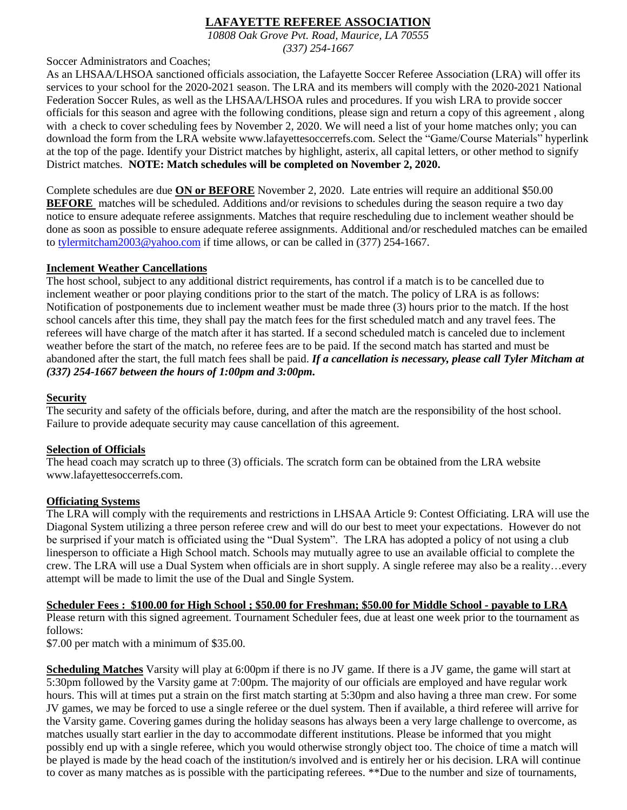# **LAFAYETTE REFEREE ASSOCIATION**

*10808 Oak Grove Pvt. Road, Maurice, LA 70555 (337) 254-1667*

Soccer Administrators and Coaches;

As an LHSAA/LHSOA sanctioned officials association, the Lafayette Soccer Referee Association (LRA) will offer its services to your school for the 2020-2021 season. The LRA and its members will comply with the 2020-2021 National Federation Soccer Rules, as well as the LHSAA/LHSOA rules and procedures. If you wish LRA to provide soccer officials for this season and agree with the following conditions, please sign and return a copy of this agreement , along with a check to cover scheduling fees by November 2, 2020. We will need a list of your home matches only; you can download the form from the LRA website www.lafayettesoccerrefs.com. Select the "Game/Course Materials" hyperlink at the top of the page. Identify your District matches by highlight, asterix, all capital letters, or other method to signify District matches. **NOTE: Match schedules will be completed on November 2, 2020.**

Complete schedules are due **ON or BEFORE** November 2, 2020. Late entries will require an additional \$50.00 **BEFORE** matches will be scheduled. Additions and/or revisions to schedules during the season require a two day notice to ensure adequate referee assignments. Matches that require rescheduling due to inclement weather should be done as soon as possible to ensure adequate referee assignments. Additional and/or rescheduled matches can be emailed to [tylermitcham2003@yahoo.com](mailto:tylermitcham2003@yahoo.com) if time allows, or can be called in (377) 254-1667.

## **Inclement Weather Cancellations**

The host school, subject to any additional district requirements, has control if a match is to be cancelled due to inclement weather or poor playing conditions prior to the start of the match. The policy of LRA is as follows: Notification of postponements due to inclement weather must be made three (3) hours prior to the match. If the host school cancels after this time, they shall pay the match fees for the first scheduled match and any travel fees. The referees will have charge of the match after it has started. If a second scheduled match is canceled due to inclement weather before the start of the match, no referee fees are to be paid. If the second match has started and must be abandoned after the start, the full match fees shall be paid. *If a cancellation is necessary, please call Tyler Mitcham at (337) 254-1667 between the hours of 1:00pm and 3:00pm.*

# **Security**

The security and safety of the officials before, during, and after the match are the responsibility of the host school. Failure to provide adequate security may cause cancellation of this agreement.

## **Selection of Officials**

The head coach may scratch up to three (3) officials. The scratch form can be obtained from the LRA website www.lafayettesoccerrefs.com.

## **Officiating Systems**

The LRA will comply with the requirements and restrictions in LHSAA Article 9: Contest Officiating. LRA will use the Diagonal System utilizing a three person referee crew and will do our best to meet your expectations. However do not be surprised if your match is officiated using the "Dual System". The LRA has adopted a policy of not using a club linesperson to officiate a High School match. Schools may mutually agree to use an available official to complete the crew. The LRA will use a Dual System when officials are in short supply. A single referee may also be a reality…every attempt will be made to limit the use of the Dual and Single System.

#### **Scheduler Fees : \$100.00 for High School ; \$50.00 for Freshman; \$50.00 for Middle School - payable to LRA**

Please return with this signed agreement. Tournament Scheduler fees, due at least one week prior to the tournament as follows:

\$7.00 per match with a minimum of \$35.00.

**Scheduling Matches** Varsity will play at 6:00pm if there is no JV game. If there is a JV game, the game will start at 5:30pm followed by the Varsity game at 7:00pm. The majority of our officials are employed and have regular work hours. This will at times put a strain on the first match starting at 5:30pm and also having a three man crew. For some JV games, we may be forced to use a single referee or the duel system. Then if available, a third referee will arrive for the Varsity game. Covering games during the holiday seasons has always been a very large challenge to overcome, as matches usually start earlier in the day to accommodate different institutions. Please be informed that you might possibly end up with a single referee, which you would otherwise strongly object too. The choice of time a match will be played is made by the head coach of the institution/s involved and is entirely her or his decision. LRA will continue to cover as many matches as is possible with the participating referees. \*\*Due to the number and size of tournaments,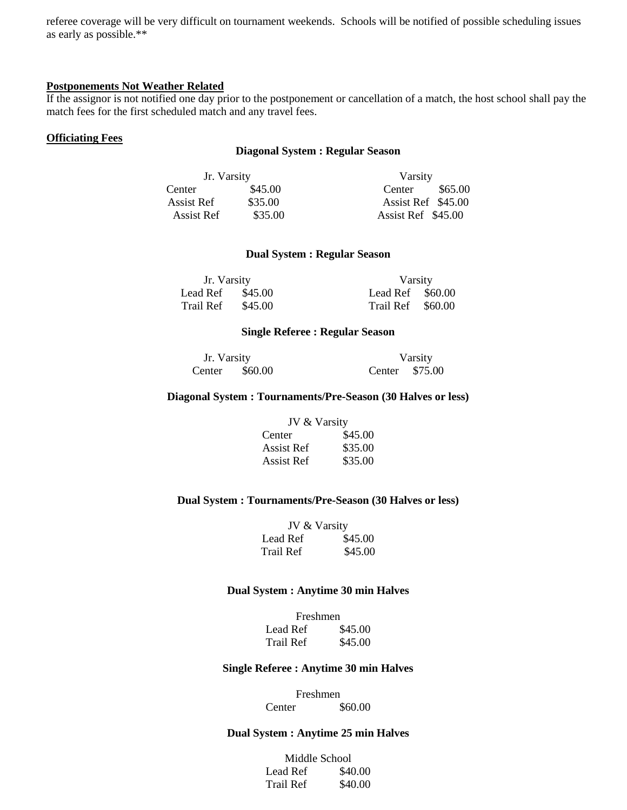referee coverage will be very difficult on tournament weekends. Schools will be notified of possible scheduling issues as early as possible.\*\*

## **Postponements Not Weather Related**

If the assignor is not notified one day prior to the postponement or cancellation of a match, the host school shall pay the match fees for the first scheduled match and any travel fees.

## **Officiating Fees**

#### **Diagonal System : Regular Season**

| Jr. Varsity |         | Varsity            |  |
|-------------|---------|--------------------|--|
| Center      | \$45.00 | \$65.00<br>Center  |  |
| Assist Ref  | \$35.00 | Assist Ref \$45.00 |  |
| Assist Ref  | \$35.00 | Assist Ref \$45.00 |  |

## **Dual System : Regular Season**

| Jr. Varsity |         | Varsity           |  |
|-------------|---------|-------------------|--|
| Lead Ref    | \$45.00 | Lead Ref $$60.00$ |  |
| Trail Ref   | \$45.00 | Trail Ref \$60.00 |  |

## **Single Referee : Regular Season**

| Jr. Varsity |         |                | Varsity |
|-------------|---------|----------------|---------|
| Center      | \$60.00 | Center \$75.00 |         |

## **Diagonal System : Tournaments/Pre-Season (30 Halves or less)**

| JV & Varsity |         |
|--------------|---------|
| Center       | \$45.00 |
| Assist Ref   | \$35.00 |
| Assist Ref   | \$35.00 |

## **Dual System : Tournaments/Pre-Season (30 Halves or less)**

| JV & Varsity |         |
|--------------|---------|
| Lead Ref     | \$45.00 |
| Trail Ref    | \$45.00 |

## **Dual System : Anytime 30 min Halves**

| Freshmen         |         |  |
|------------------|---------|--|
| Lead Ref         | \$45.00 |  |
| <b>Trail Ref</b> | \$45.00 |  |

#### **Single Referee : Anytime 30 min Halves**

Freshmen Center \$60.00

## **Dual System : Anytime 25 min Halves**

| Middle School |         |  |
|---------------|---------|--|
| Lead Ref      | \$40.00 |  |
| Trail Ref     | \$40.00 |  |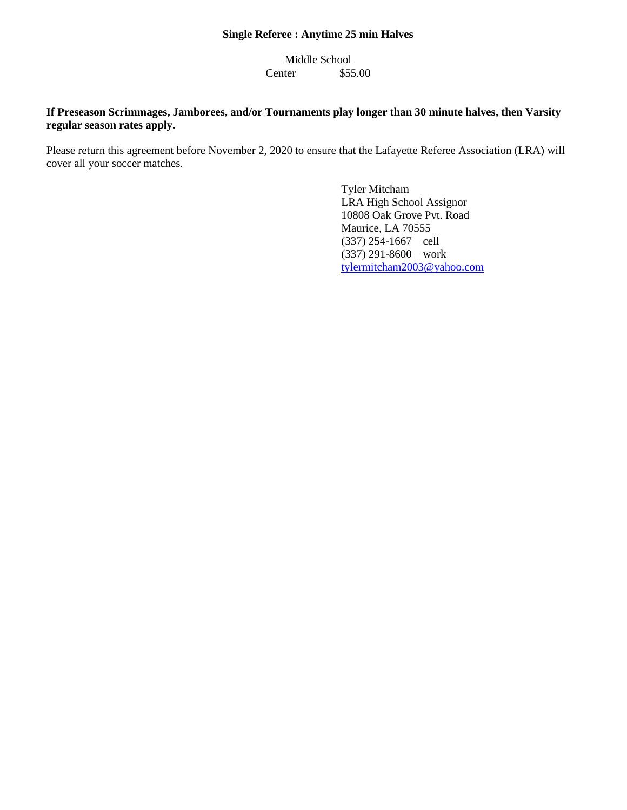# **Single Referee : Anytime 25 min Halves**

Middle School Center \$55.00

# **If Preseason Scrimmages, Jamborees, and/or Tournaments play longer than 30 minute halves, then Varsity regular season rates apply.**

Please return this agreement before November 2, 2020 to ensure that the Lafayette Referee Association (LRA) will cover all your soccer matches.

> Tyler Mitcham LRA High School Assignor 10808 Oak Grove Pvt. Road Maurice, LA 70555 (337) 254-1667 cell (337) 291-8600 work [tylermitcham2003@yahoo.com](mailto:tylermitcham2003@yahoo.com)